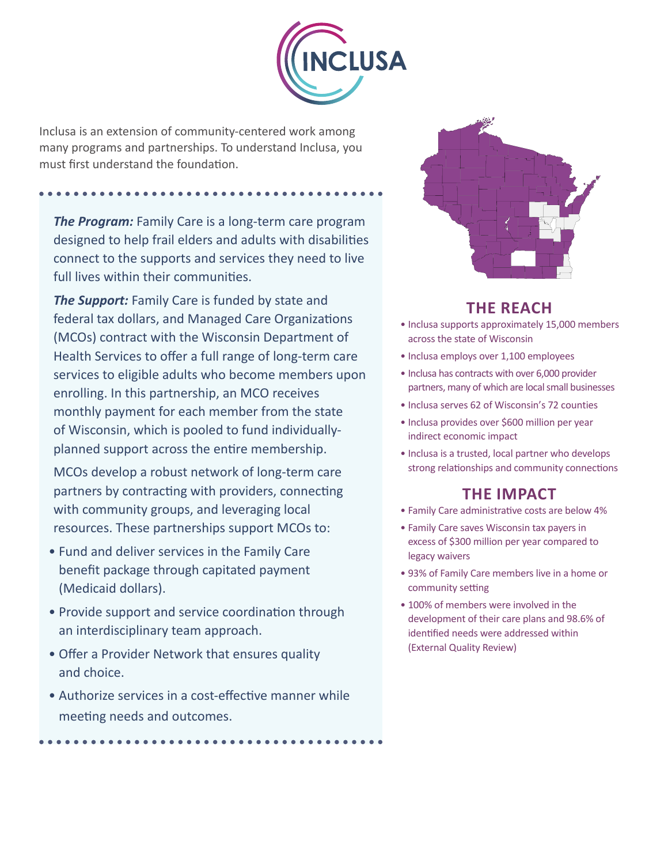

Inclusa is an extension of community-centered work among many programs and partnerships. To understand Inclusa, you must first understand the foundation.

*The Program:* Family Care is a long-term care program designed to help frail elders and adults with disabilities connect to the supports and services they need to live full lives within their communities.

*The Support:* Family Care is funded by state and federal tax dollars, and Managed Care Organizations (MCOs) contract with the Wisconsin Department of Health Services to offer a full range of long-term care services to eligible adults who become members upon enrolling. In this partnership, an MCO receives monthly payment for each member from the state of Wisconsin, which is pooled to fund individuallyplanned support across the entire membership.

MCOs develop a robust network of long-term care partners by contracting with providers, connecting with community groups, and leveraging local resources. These partnerships support MCOs to:

- Fund and deliver services in the Family Care benefit package through capitated payment (Medicaid dollars).
- Provide support and service coordination through an interdisciplinary team approach.
- Offer a Provider Network that ensures quality and choice.
- Authorize services in a cost-effective manner while meeting needs and outcomes.



### **THE REACH**

- Inclusa supports approximately 15,000 members across the state of Wisconsin
- Inclusa employs over 1,100 employees
- Inclusa has contracts with over 6,000 provider partners, many of which are local small businesses
- Inclusa serves 62 of Wisconsin's 72 counties
- Inclusa provides over \$600 million per year indirect economic impact
- Inclusa is a trusted, local partner who develops strong relationships and community connections

# **THE IMPACT**

- Family Care administrative costs are below 4%
- Family Care saves Wisconsin tax payers in excess of \$300 million per year compared to legacy waivers
- 93% of Family Care members live in a home or community setting
- 100% of members were involved in the development of their care plans and 98.6% of identified needs were addressed within (External Quality Review)